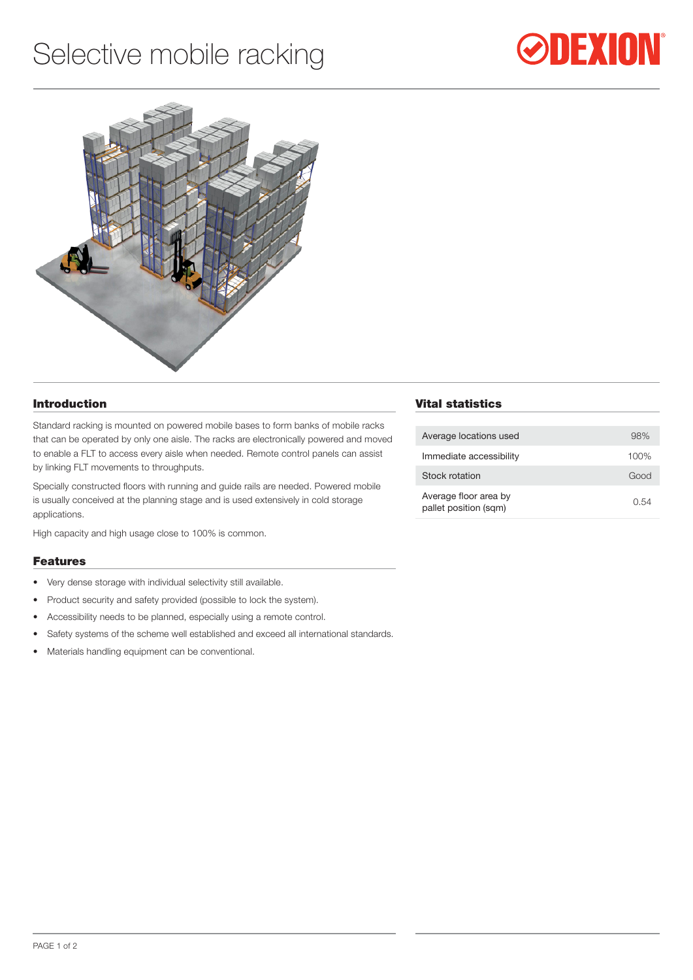# Selective mobile racking





### Introduction

Standard racking is mounted on powered mobile bases to form banks of mobile racks that can be operated by only one aisle. The racks are electronically powered and moved to enable a FLT to access every aisle when needed. Remote control panels can assist by linking FLT movements to throughputs.

Specially constructed floors with running and guide rails are needed. Powered mobile is usually conceived at the planning stage and is used extensively in cold storage applications.

High capacity and high usage close to 100% is common.

#### Features

- Very dense storage with individual selectivity still available.
- Product security and safety provided (possible to lock the system).
- • Accessibility needs to be planned, especially using a remote control.
- Safety systems of the scheme well established and exceed all international standards.
- Materials handling equipment can be conventional.

### Vital statistics

| Average locations used                         | 98%  |
|------------------------------------------------|------|
| Immediate accessibility                        | 100% |
| Stock rotation                                 | Good |
| Average floor area by<br>pallet position (sqm) | 0.54 |